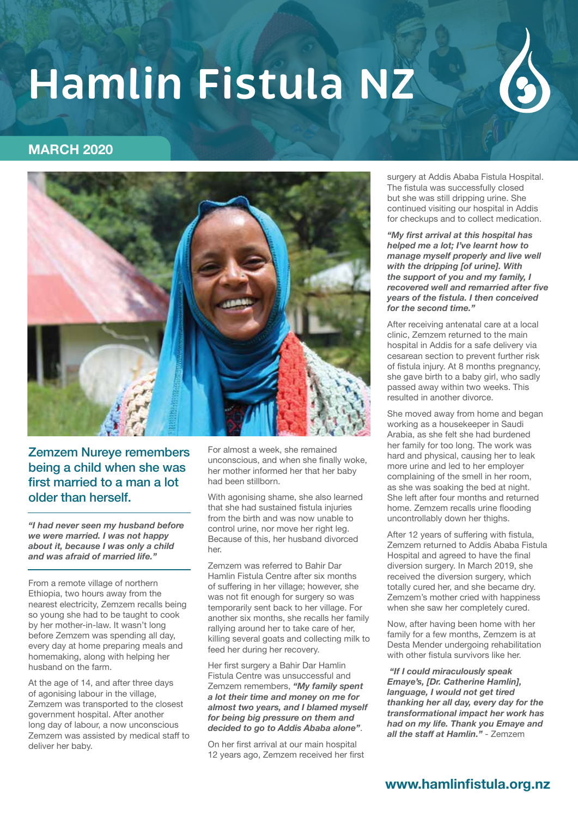

# **MARCH 2020**



Zemzem Nureye remembers being a child when she was first married to a man a lot older than herself.

*"I had never seen my husband before we were married. I was not happy about it, because I was only a child and was afraid of married life."* 

From a remote village of northern Ethiopia, two hours away from the nearest electricity, Zemzem recalls being so young she had to be taught to cook by her mother-in-law. It wasn't long before Zemzem was spending all day, every day at home preparing meals and homemaking, along with helping her husband on the farm.

At the age of 14, and after three days of agonising labour in the village, Zemzem was transported to the closest government hospital. After another long day of labour, a now unconscious Zemzem was assisted by medical staff to deliver her baby.

For almost a week, she remained unconscious, and when she finally woke, her mother informed her that her baby had been stillborn.

With agonising shame, she also learned that she had sustained fistula injuries from the birth and was now unable to control urine, nor move her right leg. Because of this, her husband divorced her.

Zemzem was referred to Bahir Dar Hamlin Fistula Centre after six months of suffering in her village; however, she was not fit enough for surgery so was temporarily sent back to her village. For another six months, she recalls her family rallying around her to take care of her, killing several goats and collecting milk to feed her during her recovery.

Her first surgery a Bahir Dar Hamlin Fistula Centre was unsuccessful and Zemzem remembers, *"My family spent a lot their time and money on me for almost two years, and I blamed myself for being big pressure on them and decided to go to Addis Ababa alone"*.

On her first arrival at our main hospital 12 years ago, Zemzem received her first surgery at Addis Ababa Fistula Hospital. The fistula was successfully closed but she was still dripping urine. She continued visiting our hospital in Addis for checkups and to collect medication.

*"My first arrival at this hospital has helped me a lot; I've learnt how to manage myself properly and live well with the dripping [of urine]. With the support of you and my family, I recovered well and remarried after five years of the fistula. I then conceived for the second time."*

After receiving antenatal care at a local clinic, Zemzem returned to the main hospital in Addis for a safe delivery via cesarean section to prevent further risk of fistula injury. At 8 months pregnancy, she gave birth to a baby girl, who sadly passed away within two weeks. This resulted in another divorce.

She moved away from home and began working as a housekeeper in Saudi Arabia, as she felt she had burdened her family for too long. The work was hard and physical, causing her to leak more urine and led to her employer complaining of the smell in her room, as she was soaking the bed at night. She left after four months and returned home. Zemzem recalls urine flooding uncontrollably down her thighs.

After 12 years of suffering with fistula, Zemzem returned to Addis Ababa Fistula Hospital and agreed to have the final diversion surgery. In March 2019, she received the diversion surgery, which totally cured her, and she became dry. Zemzem's mother cried with happiness when she saw her completely cured.

Now, after having been home with her family for a few months, Zemzem is at Desta Mender undergoing rehabilitation with other fistula survivors like her.

*"If I could miraculously speak Emaye's, [Dr. Catherine Hamlin], language, I would not get tired thanking her all day, every day for the transformational impact her work has had on my life. Thank you Emaye and all the staff at Hamlin."* - Zemzem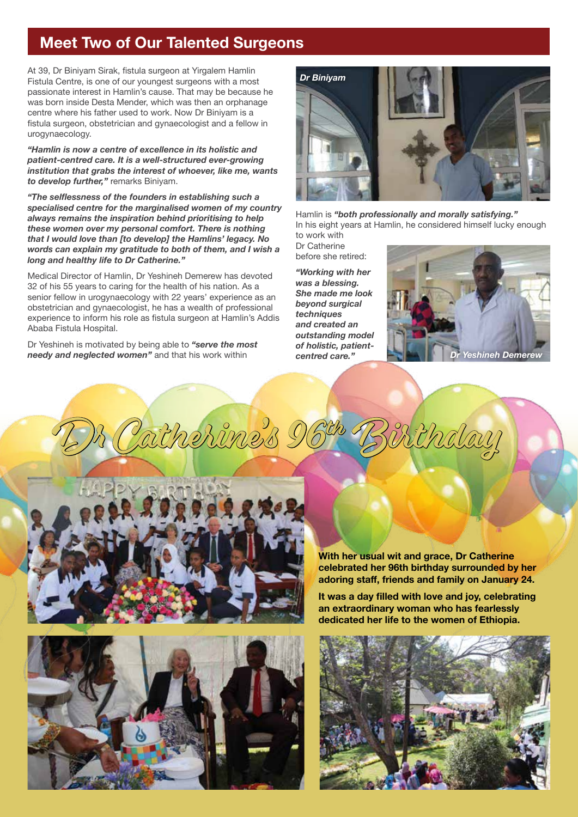# **Meet Two of Our Talented Surgeons**

At 39, Dr Biniyam Sirak, fistula surgeon at Yirgalem Hamlin Fistula Centre, is one of our youngest surgeons with a most passionate interest in Hamlin's cause. That may be because he was born inside Desta Mender, which was then an orphanage centre where his father used to work. Now Dr Biniyam is a fistula surgeon, obstetrician and gynaecologist and a fellow in urogynaecology.

*"Hamlin is now a centre of excellence in its holistic and patient-centred care. It is a well-structured ever-growing institution that grabs the interest of whoever, like me, wants to develop further,"* remarks Biniyam.

*"The selflessness of the founders in establishing such a specialised centre for the marginalised women of my country always remains the inspiration behind prioritising to help these women over my personal comfort. There is nothing that I would love than [to develop] the Hamlins' legacy. No words can explain my gratitude to both of them, and I wish a long and healthy life to Dr Catherine."*

Medical Director of Hamlin, Dr Yeshineh Demerew has devoted 32 of his 55 years to caring for the health of his nation. As a senior fellow in urogynaecology with 22 years' experience as an obstetrician and gynaecologist, he has a wealth of professional experience to inform his role as fistula surgeon at Hamlin's Addis Ababa Fistula Hospital.

Dr Yeshineh is motivated by being able to *"serve the most needy and neglected women"* and that his work within



Hamlin is *"both professionally and morally satisfying."* In his eight years at Hamlin, he considered himself lucky enough to work with

Dr Catherine before she retired:

*"Working with her was a blessing. She made me look beyond surgical techniques and created an outstanding model of holistic, patientcentred care."*









**With her usual wit and grace, Dr Catherine celebrated her 96th birthday surrounded by her adoring staff, friends and family on January 24.** 

**It was a day filled with love and joy, celebrating an extraordinary woman who has fearlessly dedicated her life to the women of Ethiopia.**

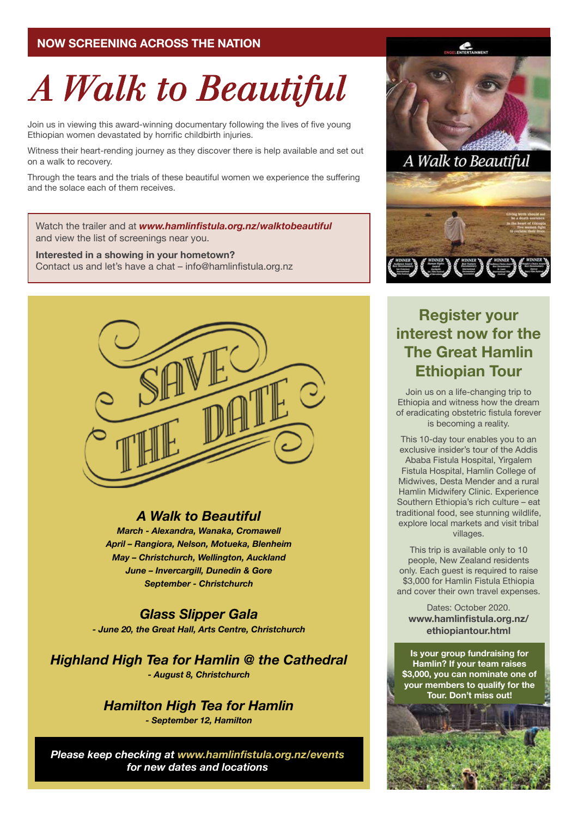# **NOW SCREENING ACROSS THE NATION**

# A Walk to Beautiful

Join us in viewing this award-winning documentary following the lives of five young Ethiopian women devastated by horrific childbirth injuries.

Witness their heart-rending journey as they discover there is help available and set out on a walk to recovery.

Through the tears and the trials of these beautiful women we experience the suffering and the solace each of them receives.

Watch the trailer and at *www.hamlinfistula.org.nz/walktobeautiful* and view the list of screenings near you.

**Interested in a showing in your hometown?** Contact us and let's have a chat – info@hamlinfistula.org.nz



# *A Walk to Beautiful*

*March - Alexandra, Wanaka, Cromawell April – Rangiora, Nelson, Motueka, Blenheim May – Christchurch, Wellington, Auckland June – Invercargill, Dunedin & Gore September - Christchurch*

*Glass Slipper Gala - June 20, the Great Hall, Arts Centre, Christchurch*

*Highland High Tea for Hamlin @ the Cathedral - August 8, Christchurch*

> *Hamilton High Tea for Hamlin - September 12, Hamilton*

*Please keep checking at www.hamlinfistula.org.nz/events for new dates and locations*



# **Register your interest now for the The Great Hamlin Ethiopian Tour**

Join us on a life-changing trip to Ethiopia and witness how the dream of eradicating obstetric fistula forever is becoming a reality.

This 10-day tour enables you to an exclusive insider's tour of the Addis Ababa Fistula Hospital, Yirgalem Fistula Hospital, Hamlin College of Midwives, Desta Mender and a rural Hamlin Midwifery Clinic. Experience Southern Ethiopia's rich culture – eat traditional food, see stunning wildlife, explore local markets and visit tribal villages.

This trip is available only to 10 people, New Zealand residents only. Each guest is required to raise \$3,000 for Hamlin Fistula Ethiopia and cover their own travel expenses.

Dates: October 2020. **www.hamlinfistula.org.nz/ ethiopiantour.html**

**Is your group fundraising for Hamlin? If your team raises \$3,000, you can nominate one of your members to qualify for the Tour. Don't miss out!**